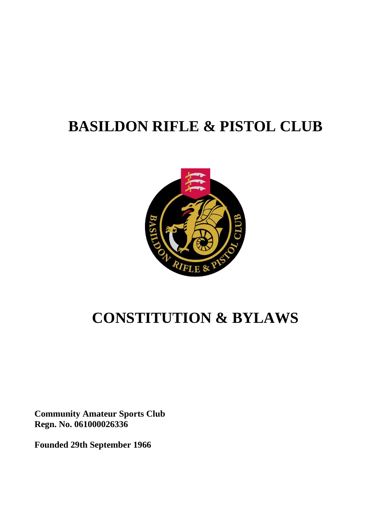# **BASILDON RIFLE & PISTOL CLUB**



# **CONSTITUTION & BYLAWS**

**Community Amateur Sports Club Regn. No. 061000026336**

**Founded 29th September 1966**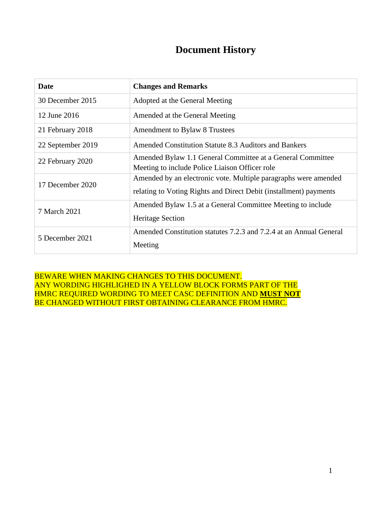## **Document History**

| Date              | <b>Changes and Remarks</b>                                                                                                           |
|-------------------|--------------------------------------------------------------------------------------------------------------------------------------|
| 30 December 2015  | Adopted at the General Meeting                                                                                                       |
| 12 June 2016      | Amended at the General Meeting                                                                                                       |
| 21 February 2018  | Amendment to Bylaw 8 Trustees                                                                                                        |
| 22 September 2019 | Amended Constitution Statute 8.3 Auditors and Bankers                                                                                |
| 22 February 2020  | Amended Bylaw 1.1 General Committee at a General Committee<br>Meeting to include Police Liaison Officer role                         |
| 17 December 2020  | Amended by an electronic vote. Multiple paragraphs were amended<br>relating to Voting Rights and Direct Debit (installment) payments |
| 7 March 2021      | Amended Bylaw 1.5 at a General Committee Meeting to include<br><b>Heritage Section</b>                                               |
| 5 December 2021   | Amended Constitution statutes 7.2.3 and 7.2.4 at an Annual General<br>Meeting                                                        |

BEWARE WHEN MAKING CHANGES TO THIS DOCUMENT. ANY WORDING HIGHLIGHED IN A YELLOW BLOCK FORMS PART OF THE HMRC REQUIRED WORDING TO MEET CASC DEFINITION AND **MUST NOT** BE CHANGED WITHOUT FIRST OBTAINING CLEARANCE FROM HMRC.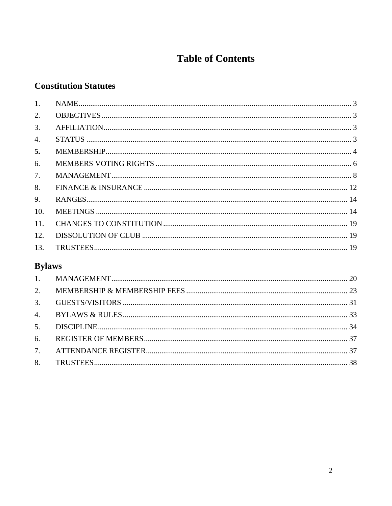## **Table of Contents**

## **Constitution Statutes**

| 1.               |  |
|------------------|--|
| 2.               |  |
| 3.               |  |
| $\overline{4}$ . |  |
| 5.               |  |
| 6.               |  |
| 7.               |  |
| 8.               |  |
| 9.               |  |
| 10.              |  |
| 11.              |  |
| 12.              |  |
| 13.              |  |
|                  |  |

## **Bylaws**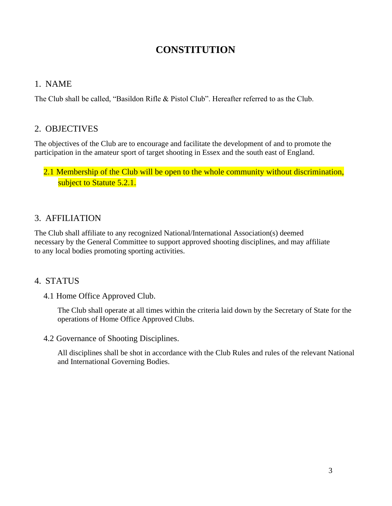## **CONSTITUTION**

## <span id="page-3-0"></span>1. NAME

The Club shall be called, "Basildon Rifle & Pistol Club". Hereafter referred to as the Club.

## <span id="page-3-1"></span>2. OBJECTIVES

The objectives of the Club are to encourage and facilitate the development of and to promote the participation in the amateur sport of target shooting in Essex and the south east of England.

## 2.1 Membership of the Club will be open to the whole community without discrimination, subject to Statute 5.2.1.

## <span id="page-3-2"></span>3. AFFILIATION

The Club shall affiliate to any recognized National/International Association(s) deemed necessary by the General Committee to support approved shooting disciplines, and may affiliate to any local bodies promoting sporting activities.

## <span id="page-3-3"></span>4. STATUS

4.1 Home Office Approved Club.

The Club shall operate at all times within the criteria laid down by the Secretary of State for the operations of Home Office Approved Clubs.

4.2 Governance of Shooting Disciplines.

All disciplines shall be shot in accordance with the Club Rules and rules of the relevant National and International Governing Bodies.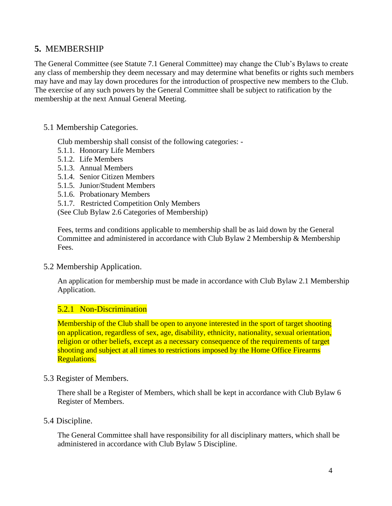## <span id="page-4-0"></span>**5.** MEMBERSHIP

The General Committee (see Statute 7.1 General Committee) may change the Club's Bylaws to create any class of membership they deem necessary and may determine what benefits or rights such members may have and may lay down procedures for the introduction of prospective new members to the Club. The exercise of any such powers by the General Committee shall be subject to ratification by the membership at the next Annual General Meeting.

## 5.1 Membership Categories.

Club membership shall consist of the following categories: -

- 5.1.1. Honorary Life Members
- 5.1.2. Life Members
- 5.1.3. Annual Members
- 5.1.4. Senior Citizen Members
- 5.1.5. Junior/Student Members
- 5.1.6. Probationary Members

5.1.7. Restricted Competition Only Members

(See Club Bylaw 2.6 Categories of Membership)

Fees, terms and conditions applicable to membership shall be as laid down by the General Committee and administered in accordance with Club Bylaw 2 Membership & Membership Fees.

## 5.2 Membership Application.

An application for membership must be made in accordance with Club Bylaw 2.1 Membership Application.

## 5.2.1 Non-Discrimination

Membership of the Club shall be open to anyone interested in the sport of target shooting on application, regardless of sex, age, disability, ethnicity, nationality, sexual orientation, religion or other beliefs, except as a necessary consequence of the requirements of target shooting and subject at all times to restrictions imposed by the Home Office Firearms Regulations.

#### 5.3 Register of Members.

There shall be a Register of Members, which shall be kept in accordance with Club Bylaw 6 Register of Members.

## 5.4 Discipline.

The General Committee shall have responsibility for all disciplinary matters, which shall be administered in accordance with Club Bylaw 5 Discipline.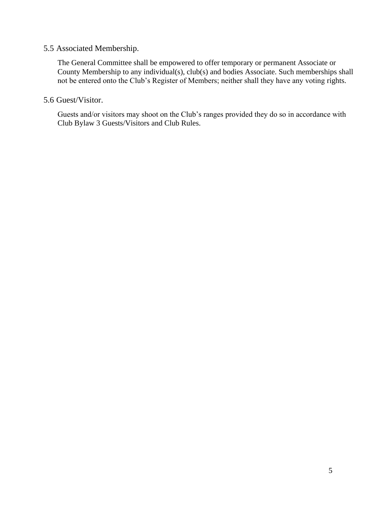#### 5.5 Associated Membership.

The General Committee shall be empowered to offer temporary or permanent Associate or County Membership to any individual(s), club(s) and bodies Associate. Such memberships shall not be entered onto the Club's Register of Members; neither shall they have any voting rights.

5.6 Guest/Visitor.

Guests and/or visitors may shoot on the Club's ranges provided they do so in accordance with Club Bylaw 3 Guests/Visitors and Club Rules.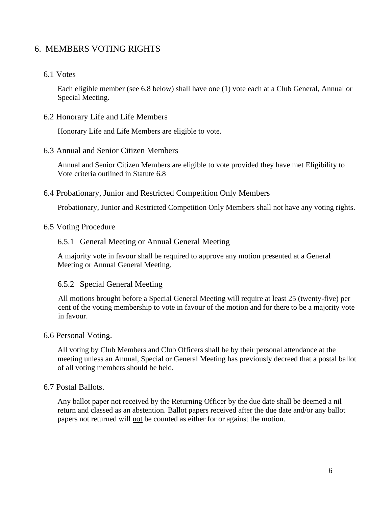## <span id="page-6-0"></span>6. MEMBERS VOTING RIGHTS

### 6.1 Votes

Each eligible member (see 6.8 below) shall have one (1) vote each at a Club General, Annual or Special Meeting.

#### 6.2 Honorary Life and Life Members

Honorary Life and Life Members are eligible to vote.

#### 6.3 Annual and Senior Citizen Members

Annual and Senior Citizen Members are eligible to vote provided they have met Eligibility to Vote criteria outlined in Statute 6.8

#### 6.4 Probationary, Junior and Restricted Competition Only Members

Probationary, Junior and Restricted Competition Only Members shall not have any voting rights.

### 6.5 Voting Procedure

#### 6.5.1 General Meeting or Annual General Meeting

A majority vote in favour shall be required to approve any motion presented at a General Meeting or Annual General Meeting.

#### 6.5.2 Special General Meeting

All motions brought before a Special General Meeting will require at least 25 (twenty-five) per cent of the voting membership to vote in favour of the motion and for there to be a majority vote in favour.

#### 6.6 Personal Voting.

All voting by Club Members and Club Officers shall be by their personal attendance at the meeting unless an Annual, Special or General Meeting has previously decreed that a postal ballot of all voting members should be held.

#### 6.7 Postal Ballots.

Any ballot paper not received by the Returning Officer by the due date shall be deemed a nil return and classed as an abstention. Ballot papers received after the due date and/or any ballot papers not returned will not be counted as either for or against the motion.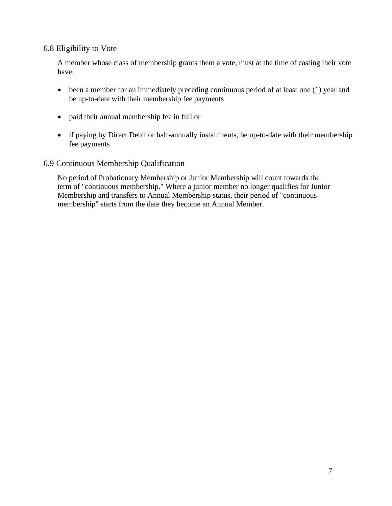## 6.8 Eligibility to Vote

A member whose class of membership grants them a vote, must at the time of casting their vote have:

- been a member for an immediately preceding continuous period of at least one (1) year and be up-to-date with their membership fee payments
- paid their annual membership fee in full or
- if paying by Direct Debit or half-annually installments, be up-to-date with their membership fee payments

## 6.9 Continuous Membership Qualification

No period of Probationary Membership or Junior Membership will count towards the term of "continuous membership." Where a junior member no longer qualifies for Junior Membership and transfers to Annual Membership status, their period of "continuous membership" starts from the date they become an Annual Member.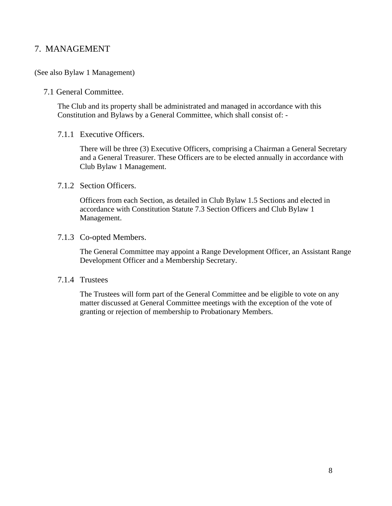## <span id="page-8-0"></span>7. MANAGEMENT

#### (See also Bylaw 1 Management)

#### 7.1 General Committee.

The Club and its property shall be administrated and managed in accordance with this Constitution and Bylaws by a General Committee, which shall consist of: -

#### 7.1.1 Executive Officers.

There will be three (3) Executive Officers, comprising a Chairman a General Secretary and a General Treasurer. These Officers are to be elected annually in accordance with Club Bylaw 1 Management.

#### 7.1.2 Section Officers.

Officers from each Section, as detailed in Club Bylaw 1.5 Sections and elected in accordance with Constitution Statute 7.3 Section Officers and Club Bylaw 1 Management.

#### 7.1.3 Co-opted Members.

The General Committee may appoint a Range Development Officer, an Assistant Range Development Officer and a Membership Secretary.

#### 7.1.4 Trustees

The Trustees will form part of the General Committee and be eligible to vote on any matter discussed at General Committee meetings with the exception of the vote of granting or rejection of membership to Probationary Members.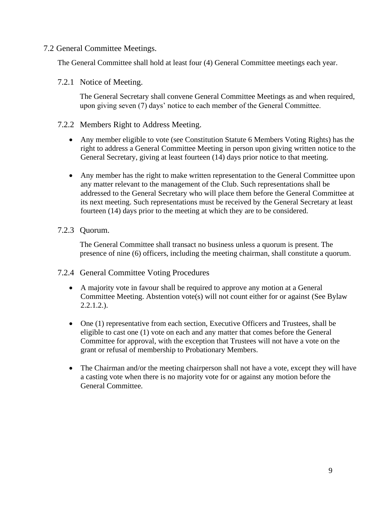## 7.2 General Committee Meetings.

The General Committee shall hold at least four (4) General Committee meetings each year.

### 7.2.1 Notice of Meeting.

The General Secretary shall convene General Committee Meetings as and when required, upon giving seven (7) days' notice to each member of the General Committee.

#### 7.2.2 Members Right to Address Meeting.

- Any member eligible to vote (see Constitution Statute 6 Members Voting Rights) has the right to address a General Committee Meeting in person upon giving written notice to the General Secretary, giving at least fourteen (14) days prior notice to that meeting.
- Any member has the right to make written representation to the General Committee upon any matter relevant to the management of the Club. Such representations shall be addressed to the General Secretary who will place them before the General Committee at its next meeting. Such representations must be received by the General Secretary at least fourteen (14) days prior to the meeting at which they are to be considered.

## 7.2.3 Quorum.

The General Committee shall transact no business unless a quorum is present. The presence of nine (6) officers, including the meeting chairman, shall constitute a quorum.

## 7.2.4 General Committee Voting Procedures

- A majority vote in favour shall be required to approve any motion at a General Committee Meeting. Abstention vote(s) will not count either for or against (See Bylaw 2.2.1.2.).
- One (1) representative from each section, Executive Officers and Trustees, shall be eligible to cast one (1) vote on each and any matter that comes before the General Committee for approval, with the exception that Trustees will not have a vote on the grant or refusal of membership to Probationary Members.
- The Chairman and/or the meeting chairperson shall not have a vote, except they will have a casting vote when there is no majority vote for or against any motion before the General Committee.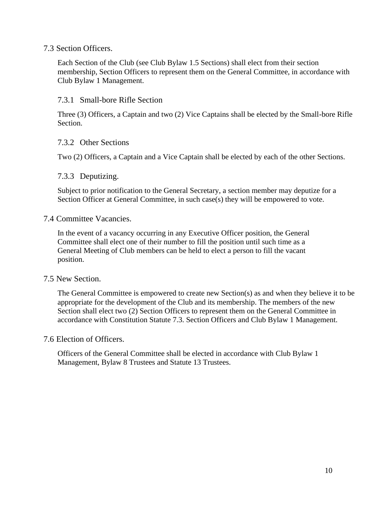### 7.3 Section Officers.

Each Section of the Club (see Club Bylaw 1.5 Sections) shall elect from their section membership, Section Officers to represent them on the General Committee, in accordance with Club Bylaw 1 Management.

### 7.3.1 Small-bore Rifle Section

Three (3) Officers, a Captain and two (2) Vice Captains shall be elected by the Small-bore Rifle Section.

#### 7.3.2 Other Sections

Two (2) Officers, a Captain and a Vice Captain shall be elected by each of the other Sections.

#### 7.3.3 Deputizing.

Subject to prior notification to the General Secretary, a section member may deputize for a Section Officer at General Committee, in such case(s) they will be empowered to vote.

#### 7.4 Committee Vacancies.

In the event of a vacancy occurring in any Executive Officer position, the General Committee shall elect one of their number to fill the position until such time as a General Meeting of Club members can be held to elect a person to fill the vacant position.

#### 7.5 New Section.

The General Committee is empowered to create new Section(s) as and when they believe it to be appropriate for the development of the Club and its membership. The members of the new Section shall elect two (2) Section Officers to represent them on the General Committee in accordance with Constitution Statute 7.3. Section Officers and Club Bylaw 1 Management.

### 7.6 Election of Officers.

Officers of the General Committee shall be elected in accordance with Club Bylaw 1 Management, Bylaw 8 Trustees and Statute 13 Trustees.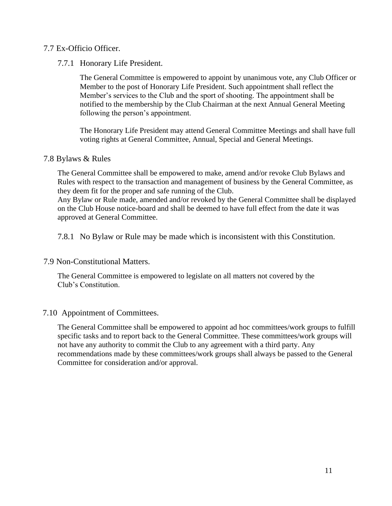## 7.7 Ex-Officio Officer.

## 7.7.1 Honorary Life President.

The General Committee is empowered to appoint by unanimous vote, any Club Officer or Member to the post of Honorary Life President. Such appointment shall reflect the Member's services to the Club and the sport of shooting. The appointment shall be notified to the membership by the Club Chairman at the next Annual General Meeting following the person's appointment.

The Honorary Life President may attend General Committee Meetings and shall have full voting rights at General Committee, Annual, Special and General Meetings.

## 7.8 Bylaws & Rules

The General Committee shall be empowered to make, amend and/or revoke Club Bylaws and Rules with respect to the transaction and management of business by the General Committee, as they deem fit for the proper and safe running of the Club.

Any Bylaw or Rule made, amended and/or revoked by the General Committee shall be displayed on the Club House notice-board and shall be deemed to have full effect from the date it was approved at General Committee.

7.8.1 No Bylaw or Rule may be made which is inconsistent with this Constitution.

## 7.9 Non-Constitutional Matters.

The General Committee is empowered to legislate on all matters not covered by the Club's Constitution.

## 7.10 Appointment of Committees.

The General Committee shall be empowered to appoint ad hoc committees/work groups to fulfill specific tasks and to report back to the General Committee. These committees/work groups will not have any authority to commit the Club to any agreement with a third party. Any recommendations made by these committees/work groups shall always be passed to the General Committee for consideration and/or approval.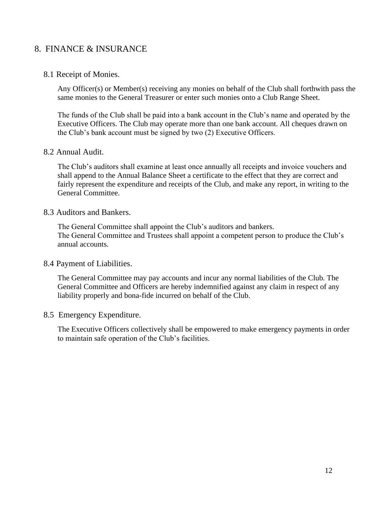## <span id="page-12-0"></span>8. FINANCE & INSURANCE

### 8.1 Receipt of Monies.

Any Officer(s) or Member(s) receiving any monies on behalf of the Club shall forthwith pass the same monies to the General Treasurer or enter such monies onto a Club Range Sheet.

The funds of the Club shall be paid into a bank account in the Club's name and operated by the Executive Officers. The Club may operate more than one bank account. All cheques drawn on the Club's bank account must be signed by two (2) Executive Officers.

#### 8.2 Annual Audit.

The Club's auditors shall examine at least once annually all receipts and invoice vouchers and shall append to the Annual Balance Sheet a certificate to the effect that they are correct and fairly represent the expenditure and receipts of the Club, and make any report, in writing to the General Committee.

#### 8.3 Auditors and Bankers.

The General Committee shall appoint the Club's auditors and bankers. The General Committee and Trustees shall appoint a competent person to produce the Club's annual accounts.

#### 8.4 Payment of Liabilities.

The General Committee may pay accounts and incur any normal liabilities of the Club. The General Committee and Officers are hereby indemnified against any claim in respect of any liability properly and bona-fide incurred on behalf of the Club.

#### 8.5 Emergency Expenditure.

The Executive Officers collectively shall be empowered to make emergency payments in order to maintain safe operation of the Club's facilities.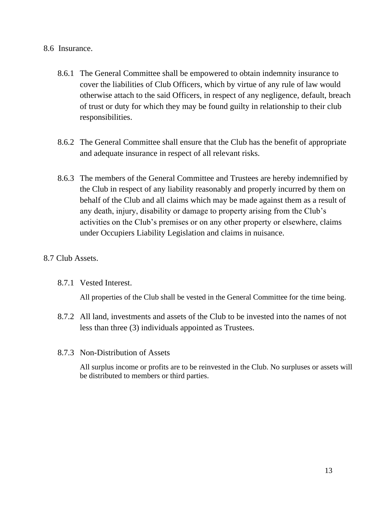## 8.6 Insurance.

- 8.6.1 The General Committee shall be empowered to obtain indemnity insurance to cover the liabilities of Club Officers, which by virtue of any rule of law would otherwise attach to the said Officers, in respect of any negligence, default, breach of trust or duty for which they may be found guilty in relationship to their club responsibilities.
- 8.6.2 The General Committee shall ensure that the Club has the benefit of appropriate and adequate insurance in respect of all relevant risks.
- 8.6.3 The members of the General Committee and Trustees are hereby indemnified by the Club in respect of any liability reasonably and properly incurred by them on behalf of the Club and all claims which may be made against them as a result of any death, injury, disability or damage to property arising from the Club's activities on the Club's premises or on any other property or elsewhere, claims under Occupiers Liability Legislation and claims in nuisance.

## 8.7 Club Assets.

## 8.7.1 Vested Interest.

All properties of the Club shall be vested in the General Committee for the time being.

- 8.7.2 All land, investments and assets of the Club to be invested into the names of not less than three (3) individuals appointed as Trustees.
- 8.7.3 Non-Distribution of Assets

All surplus income or profits are to be reinvested in the Club. No surpluses or assets will be distributed to members or third parties.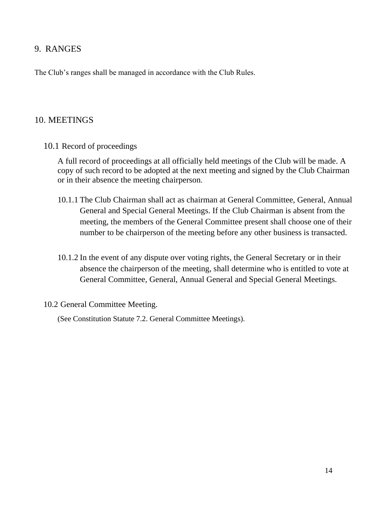## <span id="page-14-0"></span>9. RANGES

The Club's ranges shall be managed in accordance with the Club Rules.

## <span id="page-14-1"></span>10. MEETINGS

10.1 Record of proceedings

A full record of proceedings at all officially held meetings of the Club will be made. A copy of such record to be adopted at the next meeting and signed by the Club Chairman or in their absence the meeting chairperson.

- 10.1.1 The Club Chairman shall act as chairman at General Committee, General, Annual General and Special General Meetings. If the Club Chairman is absent from the meeting, the members of the General Committee present shall choose one of their number to be chairperson of the meeting before any other business is transacted.
- 10.1.2 In the event of any dispute over voting rights, the General Secretary or in their absence the chairperson of the meeting, shall determine who is entitled to vote at General Committee, General, Annual General and Special General Meetings.

## 10.2 General Committee Meeting.

(See Constitution Statute 7.2. General Committee Meetings).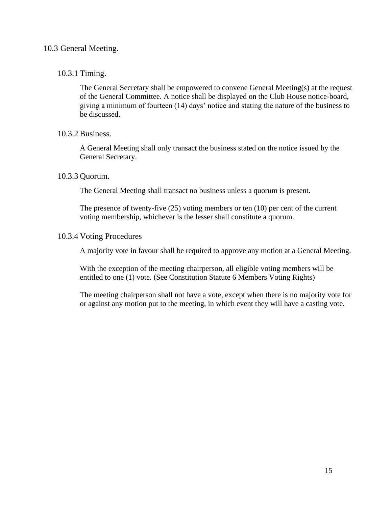## 10.3 General Meeting.

## 10.3.1 Timing.

The General Secretary shall be empowered to convene General Meeting(s) at the request of the General Committee. A notice shall be displayed on the Club House notice-board, giving a minimum of fourteen (14) days' notice and stating the nature of the business to be discussed.

## 10.3.2 Business.

A General Meeting shall only transact the business stated on the notice issued by the General Secretary.

## 10.3.3 Quorum.

The General Meeting shall transact no business unless a quorum is present.

The presence of twenty-five (25) voting members or ten (10) per cent of the current voting membership, whichever is the lesser shall constitute a quorum.

#### 10.3.4 Voting Procedures

A majority vote in favour shall be required to approve any motion at a General Meeting.

With the exception of the meeting chairperson, all eligible voting members will be entitled to one (1) vote. (See Constitution Statute 6 Members Voting Rights)

The meeting chairperson shall not have a vote, except when there is no majority vote for or against any motion put to the meeting, in which event they will have a casting vote.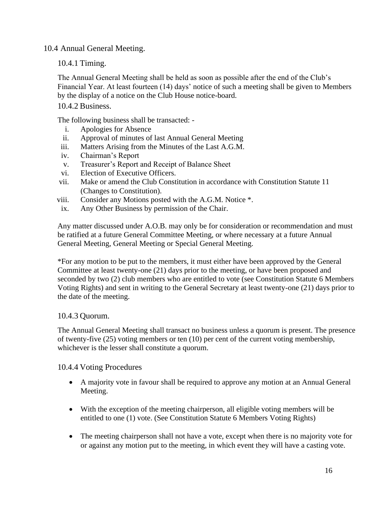10.4 Annual General Meeting.

10.4.1 Timing.

The Annual General Meeting shall be held as soon as possible after the end of the Club's Financial Year. At least fourteen (14) days' notice of such a meeting shall be given to Members by the display of a notice on the Club House notice-board.

## 10.4.2 Business.

The following business shall be transacted: -

- i. Apologies for Absence
- ii. Approval of minutes of last Annual General Meeting
- iii. Matters Arising from the Minutes of the Last A.G.M.
- iv. Chairman's Report
- v. Treasurer's Report and Receipt of Balance Sheet
- vi. Election of Executive Officers.
- vii. Make or amend the Club Constitution in accordance with Constitution Statute 11 (Changes to Constitution).
- viii. Consider any Motions posted with the A.G.M. Notice \*.
- ix. Any Other Business by permission of the Chair.

Any matter discussed under A.O.B. may only be for consideration or recommendation and must be ratified at a future General Committee Meeting, or where necessary at a future Annual General Meeting, General Meeting or Special General Meeting.

\*For any motion to be put to the members, it must either have been approved by the General Committee at least twenty-one (21) days prior to the meeting, or have been proposed and seconded by two (2) club members who are entitled to vote (see Constitution Statute 6 Members Voting Rights) and sent in writing to the General Secretary at least twenty-one (21) days prior to the date of the meeting.

## 10.4.3 Quorum.

The Annual General Meeting shall transact no business unless a quorum is present. The presence of twenty-five (25) voting members or ten (10) per cent of the current voting membership, whichever is the lesser shall constitute a quorum.

## 10.4.4 Voting Procedures

- A majority vote in favour shall be required to approve any motion at an Annual General Meeting.
- With the exception of the meeting chairperson, all eligible voting members will be entitled to one (1) vote. (See Constitution Statute 6 Members Voting Rights)
- The meeting chairperson shall not have a vote, except when there is no majority vote for or against any motion put to the meeting, in which event they will have a casting vote.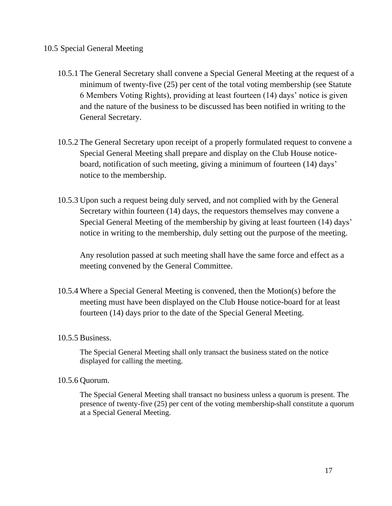## 10.5 Special General Meeting

- 10.5.1 The General Secretary shall convene a Special General Meeting at the request of a minimum of twenty-five (25) per cent of the total voting membership (see Statute 6 Members Voting Rights), providing at least fourteen (14) days' notice is given and the nature of the business to be discussed has been notified in writing to the General Secretary.
- 10.5.2 The General Secretary upon receipt of a properly formulated request to convene a Special General Meeting shall prepare and display on the Club House noticeboard, notification of such meeting, giving a minimum of fourteen (14) days' notice to the membership.
- 10.5.3 Upon such a request being duly served, and not complied with by the General Secretary within fourteen (14) days, the requestors themselves may convene a Special General Meeting of the membership by giving at least fourteen (14) days' notice in writing to the membership, duly setting out the purpose of the meeting.

Any resolution passed at such meeting shall have the same force and effect as a meeting convened by the General Committee.

10.5.4 Where a Special General Meeting is convened, then the Motion(s) before the meeting must have been displayed on the Club House notice-board for at least fourteen (14) days prior to the date of the Special General Meeting.

## 10.5.5 Business.

The Special General Meeting shall only transact the business stated on the notice displayed for calling the meeting.

#### 10.5.6 Quorum.

The Special General Meeting shall transact no business unless a quorum is present. The presence of twenty-five (25) per cent of the voting membership shall constitute a quorum at a Special General Meeting.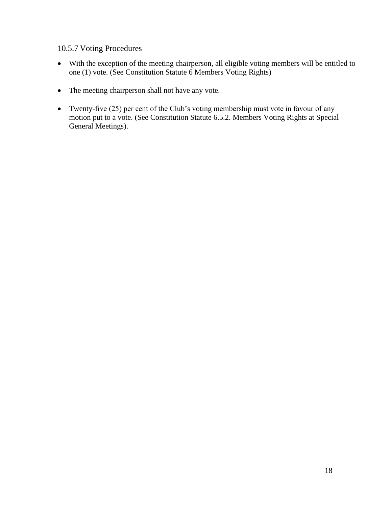## 10.5.7 Voting Procedures

- With the exception of the meeting chairperson, all eligible voting members will be entitled to one (1) vote. (See Constitution Statute 6 Members Voting Rights)
- The meeting chairperson shall not have any vote.
- Twenty-five (25) per cent of the Club's voting membership must vote in favour of any motion put to a vote. (See Constitution Statute 6.5.2. Members Voting Rights at Special General Meetings).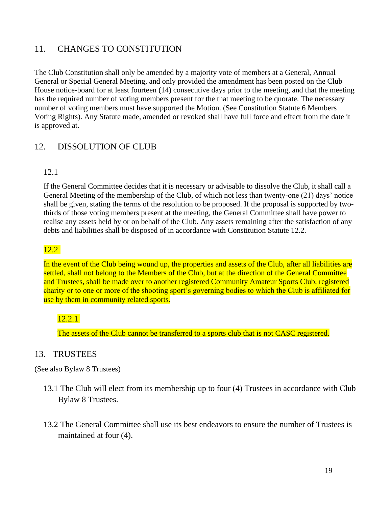## <span id="page-19-0"></span>11. CHANGES TO CONSTITUTION

The Club Constitution shall only be amended by a majority vote of members at a General, Annual General or Special General Meeting, and only provided the amendment has been posted on the Club House notice-board for at least fourteen (14) consecutive days prior to the meeting, and that the meeting has the required number of voting members present for the that meeting to be quorate. The necessary number of voting members must have supported the Motion. (See Constitution Statute 6 Members Voting Rights). Any Statute made, amended or revoked shall have full force and effect from the date it is approved at.

## <span id="page-19-1"></span>12. DISSOLUTION OF CLUB

## 12.1

If the General Committee decides that it is necessary or advisable to dissolve the Club, it shall call a General Meeting of the membership of the Club, of which not less than twenty-one (21) days' notice shall be given, stating the terms of the resolution to be proposed. If the proposal is supported by twothirds of those voting members present at the meeting, the General Committee shall have power to realise any assets held by or on behalf of the Club. Any assets remaining after the satisfaction of any debts and liabilities shall be disposed of in accordance with Constitution Statute 12.2.

## 12.2

In the event of the Club being wound up, the properties and assets of the Club, after all liabilities are settled, shall not belong to the Members of the Club, but at the direction of the General Committee and Trustees, shall be made over to another registered Community Amateur Sports Club, registered charity or to one or more of the shooting sport's governing bodies to which the Club is affiliated for use by them in community related sports.

## 12.2.1

The assets of the Club cannot be transferred to a sports club that is not CASC registered.

## <span id="page-19-2"></span>13. TRUSTEES

(See also Bylaw 8 Trustees)

- 13.1 The Club will elect from its membership up to four (4) Trustees in accordance with Club Bylaw 8 Trustees.
- 13.2 The General Committee shall use its best endeavors to ensure the number of Trustees is maintained at four (4).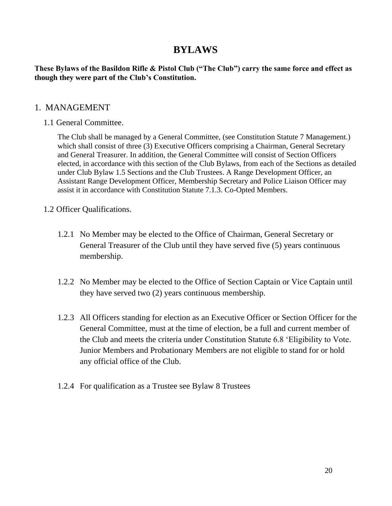## **BYLAWS**

**These Bylaws of the Basildon Rifle & Pistol Club ("The Club") carry the same force and effect as though they were part of the Club's Constitution.**

## <span id="page-20-0"></span>1. MANAGEMENT

1.1 General Committee.

The Club shall be managed by a General Committee, (see Constitution Statute 7 Management.) which shall consist of three (3) Executive Officers comprising a Chairman, General Secretary and General Treasurer. In addition, the General Committee will consist of Section Officers elected, in accordance with this section of the Club Bylaws, from each of the Sections as detailed under Club Bylaw 1.5 Sections and the Club Trustees. A Range Development Officer, an Assistant Range Development Officer, Membership Secretary and Police Liaison Officer may assist it in accordance with Constitution Statute 7.1.3. Co-Opted Members.

## 1.2 Officer Qualifications.

- 1.2.1 No Member may be elected to the Office of Chairman, General Secretary or General Treasurer of the Club until they have served five (5) years continuous membership.
- 1.2.2 No Member may be elected to the Office of Section Captain or Vice Captain until they have served two (2) years continuous membership.
- 1.2.3 All Officers standing for election as an Executive Officer or Section Officer for the General Committee, must at the time of election, be a full and current member of the Club and meets the criteria under Constitution Statute 6.8 'Eligibility to Vote. Junior Members and Probationary Members are not eligible to stand for or hold any official office of the Club.
- 1.2.4 For qualification as a Trustee see Bylaw 8 Trustees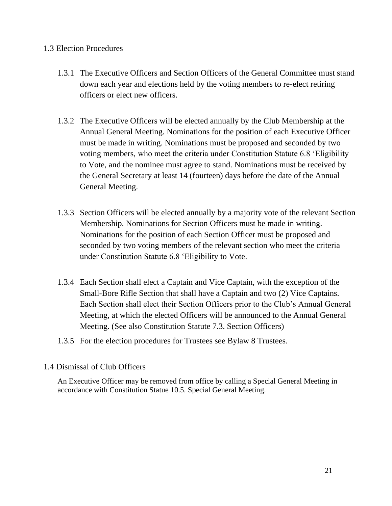## 1.3 Election Procedures

- 1.3.1 The Executive Officers and Section Officers of the General Committee must stand down each year and elections held by the voting members to re-elect retiring officers or elect new officers.
- 1.3.2 The Executive Officers will be elected annually by the Club Membership at the Annual General Meeting. Nominations for the position of each Executive Officer must be made in writing. Nominations must be proposed and seconded by two voting members, who meet the criteria under Constitution Statute 6.8 'Eligibility to Vote, and the nominee must agree to stand. Nominations must be received by the General Secretary at least 14 (fourteen) days before the date of the Annual General Meeting.
- 1.3.3 Section Officers will be elected annually by a majority vote of the relevant Section Membership. Nominations for Section Officers must be made in writing. Nominations for the position of each Section Officer must be proposed and seconded by two voting members of the relevant section who meet the criteria under Constitution Statute 6.8 'Eligibility to Vote.
- 1.3.4 Each Section shall elect a Captain and Vice Captain, with the exception of the Small-Bore Rifle Section that shall have a Captain and two (2) Vice Captains. Each Section shall elect their Section Officers prior to the Club's Annual General Meeting, at which the elected Officers will be announced to the Annual General Meeting. (See also Constitution Statute 7.3. Section Officers)
- 1.3.5 For the election procedures for Trustees see Bylaw 8 Trustees.

## 1.4 Dismissal of Club Officers

An Executive Officer may be removed from office by calling a Special General Meeting in accordance with Constitution Statue 10.5. Special General Meeting.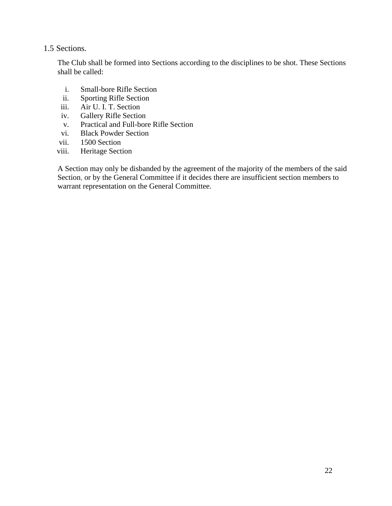## 1.5 Sections.

The Club shall be formed into Sections according to the disciplines to be shot. These Sections shall be called:

- i. Small-bore Rifle Section
- ii. Sporting Rifle Section
- iii. Air U. I. T. Section
- iv. Gallery Rifle Section
- v. Practical and Full-bore Rifle Section
- vi. Black Powder Section
- vii. 1500 Section
- viii. Heritage Section

A Section may only be disbanded by the agreement of the majority of the members of the said Section, or by the General Committee if it decides there are insufficient section members to warrant representation on the General Committee.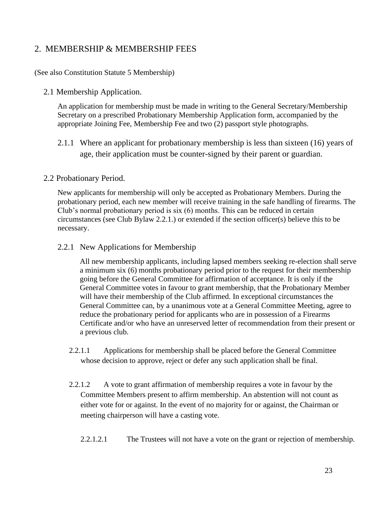## <span id="page-23-0"></span>2. MEMBERSHIP & MEMBERSHIP FEES

### (See also Constitution Statute 5 Membership)

### 2.1 Membership Application.

An application for membership must be made in writing to the General Secretary/Membership Secretary on a prescribed Probationary Membership Application form, accompanied by the appropriate Joining Fee, Membership Fee and two (2) passport style photographs.

2.1.1 Where an applicant for probationary membership is less than sixteen (16) years of age, their application must be counter-signed by their parent or guardian.

#### 2.2 Probationary Period.

New applicants for membership will only be accepted as Probationary Members. During the probationary period, each new member will receive training in the safe handling of firearms. The Club's normal probationary period is six (6) months. This can be reduced in certain circumstances (see Club Bylaw 2.2.1.) or extended if the section officer(s) believe this to be necessary.

2.2.1 New Applications for Membership

All new membership applicants, including lapsed members seeking re-election shall serve a minimum six (6) months probationary period prior to the request for their membership going before the General Committee for affirmation of acceptance. It is only if the General Committee votes in favour to grant membership, that the Probationary Member will have their membership of the Club affirmed. In exceptional circumstances the General Committee can, by a unanimous vote at a General Committee Meeting, agree to reduce the probationary period for applicants who are in possession of a Firearms Certificate and/or who have an unreserved letter of recommendation from their present or a previous club.

- 2.2.1.1 Applications for membership shall be placed before the General Committee whose decision to approve, reject or defer any such application shall be final.
- 2.2.1.2 A vote to grant affirmation of membership requires a vote in favour by the Committee Members present to affirm membership. An abstention will not count as either vote for or against. In the event of no majority for or against, the Chairman or meeting chairperson will have a casting vote.
	- 2.2.1.2.1 The Trustees will not have a vote on the grant or rejection of membership.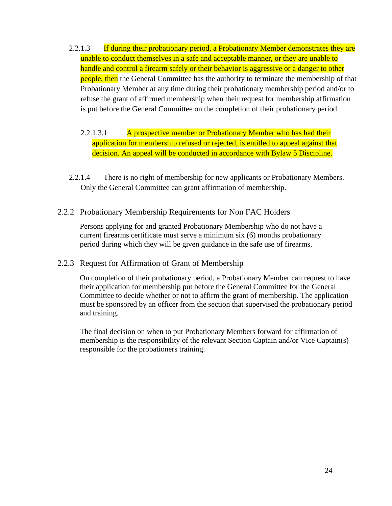- 2.2.1.3 If during their probationary period, a Probationary Member demonstrates they are unable to conduct themselves in a safe and acceptable manner, or they are unable to handle and control a firearm safely or their behavior is aggressive or a danger to other people, then the General Committee has the authority to terminate the membership of that Probationary Member at any time during their probationary membership period and/or to refuse the grant of affirmed membership when their request for membership affirmation is put before the General Committee on the completion of their probationary period.
	- 2.2.1.3.1 A prospective member or Probationary Member who has had their application for membership refused or rejected, is entitled to appeal against that decision. An appeal will be conducted in accordance with Bylaw 5 Discipline.
- 2.2.1.4 There is no right of membership for new applicants or Probationary Members. Only the General Committee can grant affirmation of membership.
- 2.2.2 Probationary Membership Requirements for Non FAC Holders

Persons applying for and granted Probationary Membership who do not have a current firearms certificate must serve a minimum six (6) months probationary period during which they will be given guidance in the safe use of firearms.

2.2.3 Request for Affirmation of Grant of Membership

On completion of their probationary period, a Probationary Member can request to have their application for membership put before the General Committee for the General Committee to decide whether or not to affirm the grant of membership. The application must be sponsored by an officer from the section that supervised the probationary period and training.

The final decision on when to put Probationary Members forward for affirmation of membership is the responsibility of the relevant Section Captain and/or Vice Captain(s) responsible for the probationers training.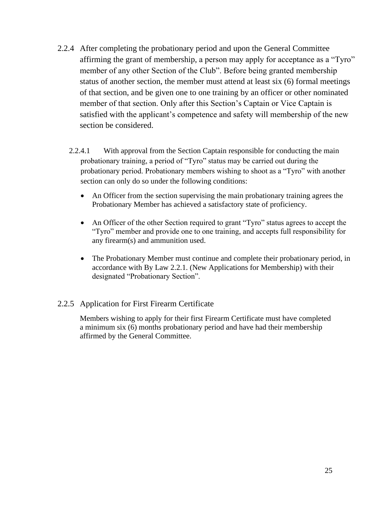- 2.2.4 After completing the probationary period and upon the General Committee affirming the grant of membership, a person may apply for acceptance as a "Tyro" member of any other Section of the Club". Before being granted membership status of another section, the member must attend at least six (6) formal meetings of that section, and be given one to one training by an officer or other nominated member of that section. Only after this Section's Captain or Vice Captain is satisfied with the applicant's competence and safety will membership of the new section be considered.
	- 2.2.4.1 With approval from the Section Captain responsible for conducting the main probationary training, a period of "Tyro" status may be carried out during the probationary period. Probationary members wishing to shoot as a "Tyro" with another section can only do so under the following conditions:
		- An Officer from the section supervising the main probationary training agrees the Probationary Member has achieved a satisfactory state of proficiency.
		- An Officer of the other Section required to grant "Tyro" status agrees to accept the "Tyro" member and provide one to one training, and accepts full responsibility for any firearm(s) and ammunition used.
		- The Probationary Member must continue and complete their probationary period, in accordance with By Law 2.2.1. (New Applications for Membership) with their designated "Probationary Section".

## 2.2.5 Application for First Firearm Certificate

Members wishing to apply for their first Firearm Certificate must have completed a minimum six (6) months probationary period and have had their membership affirmed by the General Committee.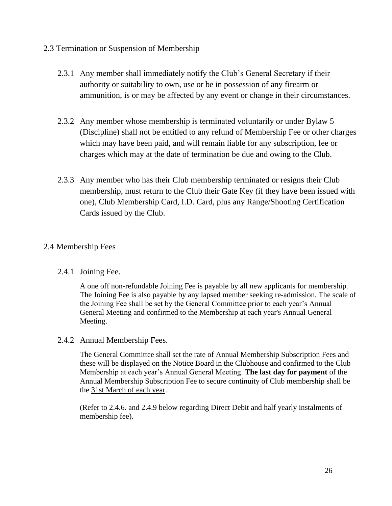## 2.3 Termination or Suspension of Membership

- 2.3.1 Any member shall immediately notify the Club's General Secretary if their authority or suitability to own, use or be in possession of any firearm or ammunition, is or may be affected by any event or change in their circumstances.
- 2.3.2 Any member whose membership is terminated voluntarily or under Bylaw 5 (Discipline) shall not be entitled to any refund of Membership Fee or other charges which may have been paid, and will remain liable for any subscription, fee or charges which may at the date of termination be due and owing to the Club.
- 2.3.3 Any member who has their Club membership terminated or resigns their Club membership, must return to the Club their Gate Key (if they have been issued with one), Club Membership Card, I.D. Card, plus any Range/Shooting Certification Cards issued by the Club.

## 2.4 Membership Fees

## 2.4.1 Joining Fee.

A one off non-refundable Joining Fee is payable by all new applicants for membership. The Joining Fee is also payable by any lapsed member seeking re-admission. The scale of the Joining Fee shall be set by the General Committee prior to each year's Annual General Meeting and confirmed to the Membership at each year's Annual General Meeting.

## 2.4.2 Annual Membership Fees.

The General Committee shall set the rate of Annual Membership Subscription Fees and these will be displayed on the Notice Board in the Clubhouse and confirmed to the Club Membership at each year's Annual General Meeting. **The last day for payment** of the Annual Membership Subscription Fee to secure continuity of Club membership shall be the 31st March of each year.

(Refer to 2.4.6. and 2.4.9 below regarding Direct Debit and half yearly instalments of membership fee).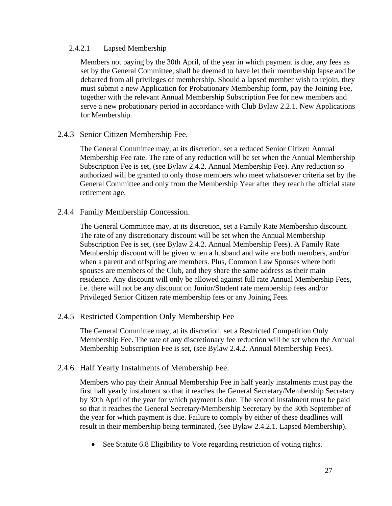#### 2.4.2.1 Lapsed Membership

Members not paying by the 30th April, of the year in which payment is due, any fees as set by the General Committee, shall be deemed to have let their membership lapse and be debarred from all privileges of membership. Should a lapsed member wish to rejoin, they must submit a new Application for Probationary Membership form, pay the Joining Fee, together with the relevant Annual Membership Subscription Fee for new members and serve a new probationary period in accordance with Club Bylaw 2.2.1. New Applications for Membership.

## 2.4.3 Senior Citizen Membership Fee.

The General Committee may, at its discretion, set a reduced Senior Citizen Annual Membership Fee rate. The rate of any reduction will be set when the Annual Membership Subscription Fee is set, (see Bylaw 2.4.2. Annual Membership Fee). Any reduction so authorized will be granted to only those members who meet whatsoever criteria set by the General Committee and only from the Membership Year after they reach the official state retirement age.

#### 2.4.4 Family Membership Concession.

The General Committee may, at its discretion, set a Family Rate Membership discount. The rate of any discretionary discount will be set when the Annual Membership Subscription Fee is set, (see Bylaw 2.4.2. Annual Membership Fees). A Family Rate Membership discount will be given when a husband and wife are both members, and/or when a parent and offspring are members. Plus, Common Law Spouses where both spouses are members of the Club, and they share the same address as their main residence. Any discount will only be allowed against full rate Annual Membership Fees, i.e. there will not be any discount on Junior/Student rate membership fees and/or Privileged Senior Citizen rate membership fees or any Joining Fees.

## 2.4.5 Restricted Competition Only Membership Fee

The General Committee may, at its discretion, set a Restricted Competition Only Membership Fee. The rate of any discretionary fee reduction will be set when the Annual Membership Subscription Fee is set, (see Bylaw 2.4.2. Annual Membership Fees).

## 2.4.6 Half Yearly Instalments of Membership Fee.

Members who pay their Annual Membership Fee in half yearly instalments must pay the first half yearly instalment so that it reaches the General Secretary/Membership Secretary by 30th April of the year for which payment is due. The second instalment must be paid so that it reaches the General Secretary/Membership Secretary by the 30th September of the year for which payment is due. Failure to comply by either of these deadlines will result in their membership being terminated, (see Bylaw 2.4.2.1. Lapsed Membership).

• See Statute 6.8 Eligibility to Vote regarding restriction of voting rights.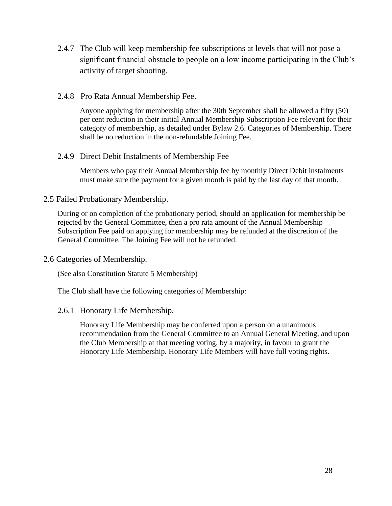- 2.4.7 The Club will keep membership fee subscriptions at levels that will not pose a significant financial obstacle to people on a low income participating in the Club's activity of target shooting.
- 2.4.8 Pro Rata Annual Membership Fee.

Anyone applying for membership after the 30th September shall be allowed a fifty (50) per cent reduction in their initial Annual Membership Subscription Fee relevant for their category of membership, as detailed under Bylaw 2.6. Categories of Membership. There shall be no reduction in the non-refundable Joining Fee.

2.4.9 Direct Debit Instalments of Membership Fee

Members who pay their Annual Membership fee by monthly Direct Debit instalments must make sure the payment for a given month is paid by the last day of that month.

## 2.5 Failed Probationary Membership.

During or on completion of the probationary period, should an application for membership be rejected by the General Committee, then a pro rata amount of the Annual Membership Subscription Fee paid on applying for membership may be refunded at the discretion of the General Committee. The Joining Fee will not be refunded.

2.6 Categories of Membership.

(See also Constitution Statute 5 Membership)

The Club shall have the following categories of Membership:

## 2.6.1 Honorary Life Membership.

Honorary Life Membership may be conferred upon a person on a unanimous recommendation from the General Committee to an Annual General Meeting, and upon the Club Membership at that meeting voting, by a majority, in favour to grant the Honorary Life Membership. Honorary Life Members will have full voting rights.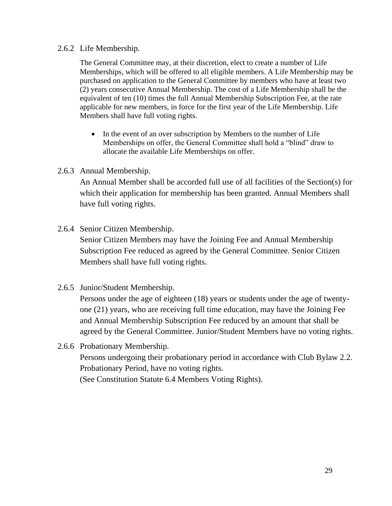## 2.6.2 Life Membership.

The General Committee may, at their discretion, elect to create a number of Life Memberships, which will be offered to all eligible members. A Life Membership may be purchased on application to the General Committee by members who have at least two (2) years consecutive Annual Membership. The cost of a Life Membership shall be the equivalent of ten (10) times the full Annual Membership Subscription Fee, at the rate applicable for new members, in force for the first year of the Life Membership. Life Members shall have full voting rights.

• In the event of an over subscription by Members to the number of Life Memberships on offer, the General Committee shall hold a "blind" draw to allocate the available Life Memberships on offer.

## 2.6.3 Annual Membership.

An Annual Member shall be accorded full use of all facilities of the Section(s) for which their application for membership has been granted. Annual Members shall have full voting rights.

2.6.4 Senior Citizen Membership.

Senior Citizen Members may have the Joining Fee and Annual Membership Subscription Fee reduced as agreed by the General Committee. Senior Citizen Members shall have full voting rights.

2.6.5 Junior/Student Membership.

Persons under the age of eighteen (18) years or students under the age of twentyone (21) years, who are receiving full time education, may have the Joining Fee and Annual Membership Subscription Fee reduced by an amount that shall be agreed by the General Committee. Junior/Student Members have no voting rights.

2.6.6 Probationary Membership. Persons undergoing their probationary period in accordance with Club Bylaw 2.2. Probationary Period, have no voting rights. (See Constitution Statute 6.4 Members Voting Rights).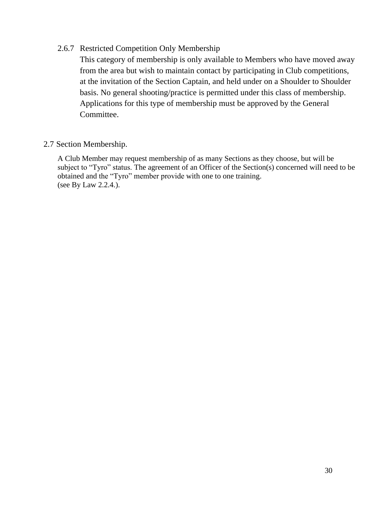## 2.6.7 Restricted Competition Only Membership

This category of membership is only available to Members who have moved away from the area but wish to maintain contact by participating in Club competitions, at the invitation of the Section Captain, and held under on a Shoulder to Shoulder basis. No general shooting/practice is permitted under this class of membership. Applications for this type of membership must be approved by the General Committee.

## 2.7 Section Membership.

A Club Member may request membership of as many Sections as they choose, but will be subject to "Tyro" status. The agreement of an Officer of the Section(s) concerned will need to be obtained and the "Tyro" member provide with one to one training. (see By Law 2.2.4.).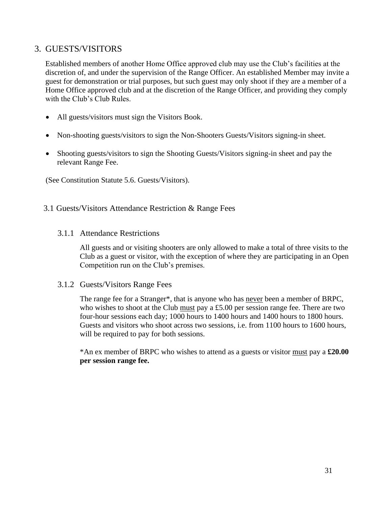## <span id="page-31-0"></span>3. GUESTS/VISITORS

Established members of another Home Office approved club may use the Club's facilities at the discretion of, and under the supervision of the Range Officer. An established Member may invite a guest for demonstration or trial purposes, but such guest may only shoot if they are a member of a Home Office approved club and at the discretion of the Range Officer, and providing they comply with the Club's Club Rules.

- All guests/visitors must sign the Visitors Book.
- Non-shooting guests/visitors to sign the Non-Shooters Guests/Visitors signing-in sheet.
- Shooting guests/visitors to sign the Shooting Guests/Visitors signing-in sheet and pay the relevant Range Fee.

(See Constitution Statute 5.6. Guests/Visitors).

#### 3.1 Guests/Visitors Attendance Restriction & Range Fees

3.1.1 Attendance Restrictions

All guests and or visiting shooters are only allowed to make a total of three visits to the Club as a guest or visitor, with the exception of where they are participating in an Open Competition run on the Club's premises.

#### 3.1.2 Guests/Visitors Range Fees

The range fee for a Stranger\*, that is anyone who has never been a member of BRPC, who wishes to shoot at the Club must pay a £5.00 per session range fee. There are two four-hour sessions each day; 1000 hours to 1400 hours and 1400 hours to 1800 hours. Guests and visitors who shoot across two sessions, i.e. from 1100 hours to 1600 hours, will be required to pay for both sessions.

\*An ex member of BRPC who wishes to attend as a guests or visitor must pay a **£20.00 per session range fee.**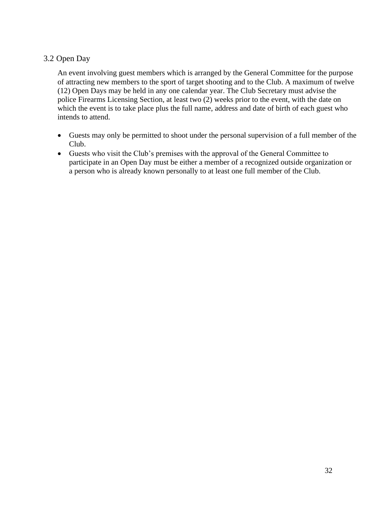## 3.2 Open Day

An event involving guest members which is arranged by the General Committee for the purpose of attracting new members to the sport of target shooting and to the Club. A maximum of twelve (12) Open Days may be held in any one calendar year. The Club Secretary must advise the police Firearms Licensing Section, at least two (2) weeks prior to the event, with the date on which the event is to take place plus the full name, address and date of birth of each guest who intends to attend.

- Guests may only be permitted to shoot under the personal supervision of a full member of the Club.
- Guests who visit the Club's premises with the approval of the General Committee to participate in an Open Day must be either a member of a recognized outside organization or a person who is already known personally to at least one full member of the Club.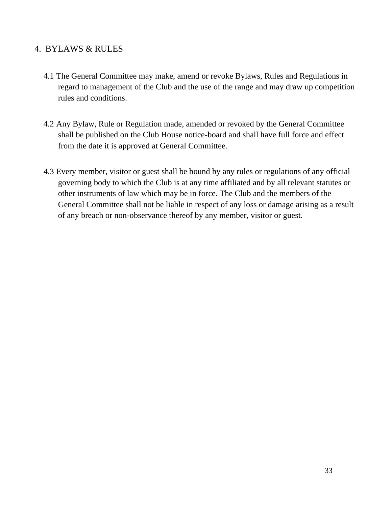## <span id="page-33-0"></span>4. BYLAWS & RULES

- 4.1 The General Committee may make, amend or revoke Bylaws, Rules and Regulations in regard to management of the Club and the use of the range and may draw up competition rules and conditions.
- 4.2 Any Bylaw, Rule or Regulation made, amended or revoked by the General Committee shall be published on the Club House notice-board and shall have full force and effect from the date it is approved at General Committee.
- 4.3 Every member, visitor or guest shall be bound by any rules or regulations of any official governing body to which the Club is at any time affiliated and by all relevant statutes or other instruments of law which may be in force. The Club and the members of the General Committee shall not be liable in respect of any loss or damage arising as a result of any breach or non-observance thereof by any member, visitor or guest.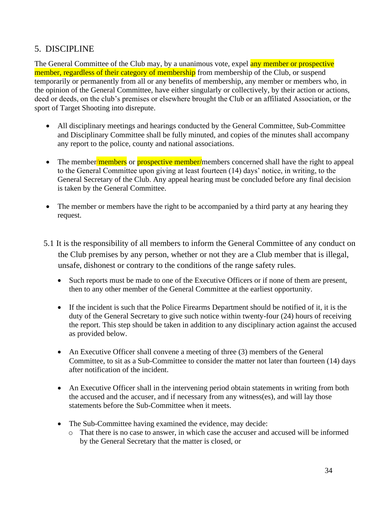## <span id="page-34-0"></span>5. DISCIPLINE

The General Committee of the Club may, by a unanimous vote, expel any member or prospective member, regardless of their category of membership from membership of the Club, or suspend temporarily or permanently from all or any benefits of membership, any member or members who, in the opinion of the General Committee, have either singularly or collectively, by their action or actions, deed or deeds, on the club's premises or elsewhere brought the Club or an affiliated Association, or the sport of Target Shooting into disrepute.

- All disciplinary meetings and hearings conducted by the General Committee, Sub-Committee and Disciplinary Committee shall be fully minuted, and copies of the minutes shall accompany any report to the police, county and national associations.
- The member/members or prospective member/members concerned shall have the right to appeal to the General Committee upon giving at least fourteen (14) days' notice, in writing, to the General Secretary of the Club. Any appeal hearing must be concluded before any final decision is taken by the General Committee.
- The member or members have the right to be accompanied by a third party at any hearing they request.
- 5.1 It is the responsibility of all members to inform the General Committee of any conduct on the Club premises by any person, whether or not they are a Club member that is illegal, unsafe, dishonest or contrary to the conditions of the range safety rules.
	- Such reports must be made to one of the Executive Officers or if none of them are present, then to any other member of the General Committee at the earliest opportunity.
	- If the incident is such that the Police Firearms Department should be notified of it, it is the duty of the General Secretary to give such notice within twenty-four (24) hours of receiving the report. This step should be taken in addition to any disciplinary action against the accused as provided below.
	- An Executive Officer shall convene a meeting of three (3) members of the General Committee, to sit as a Sub-Committee to consider the matter not later than fourteen (14) days after notification of the incident.
	- An Executive Officer shall in the intervening period obtain statements in writing from both the accused and the accuser, and if necessary from any witness(es), and will lay those statements before the Sub-Committee when it meets.
	- The Sub-Committee having examined the evidence, may decide:
		- o That there is no case to answer, in which case the accuser and accused will be informed by the General Secretary that the matter is closed, or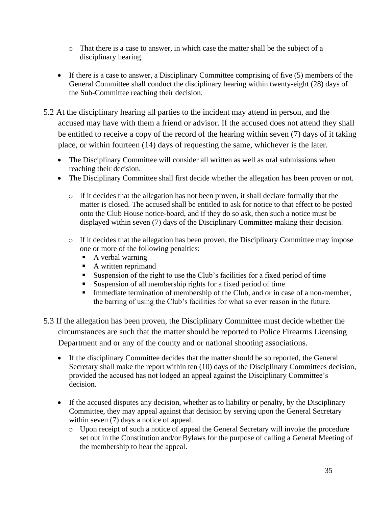- o That there is a case to answer, in which case the matter shall be the subject of a disciplinary hearing.
- If there is a case to answer, a Disciplinary Committee comprising of five (5) members of the General Committee shall conduct the disciplinary hearing within twenty-eight (28) days of the Sub-Committee reaching their decision.
- 5.2 At the disciplinary hearing all parties to the incident may attend in person, and the accused may have with them a friend or advisor. If the accused does not attend they shall be entitled to receive a copy of the record of the hearing within seven (7) days of it taking place, or within fourteen (14) days of requesting the same, whichever is the later.
	- The Disciplinary Committee will consider all written as well as oral submissions when reaching their decision.
	- The Disciplinary Committee shall first decide whether the allegation has been proven or not.
		- o If it decides that the allegation has not been proven, it shall declare formally that the matter is closed. The accused shall be entitled to ask for notice to that effect to be posted onto the Club House notice-board, and if they do so ask, then such a notice must be displayed within seven (7) days of the Disciplinary Committee making their decision.
		- o If it decides that the allegation has been proven, the Disciplinary Committee may impose one or more of the following penalties:
			- A verbal warning
			- A written reprimand
			- Suspension of the right to use the Club's facilities for a fixed period of time
			- Suspension of all membership rights for a fixed period of time
			- **Immediate termination of membership of the Club, and or in case of a non-member,** the barring of using the Club's facilities for what so ever reason in the future.
- 5.3 If the allegation has been proven, the Disciplinary Committee must decide whether the circumstances are such that the matter should be reported to Police Firearms Licensing Department and or any of the county and or national shooting associations.
	- If the disciplinary Committee decides that the matter should be so reported, the General Secretary shall make the report within ten (10) days of the Disciplinary Committees decision, provided the accused has not lodged an appeal against the Disciplinary Committee's decision.
	- If the accused disputes any decision, whether as to liability or penalty, by the Disciplinary Committee, they may appeal against that decision by serving upon the General Secretary within seven (7) days a notice of appeal.
		- o Upon receipt of such a notice of appeal the General Secretary will invoke the procedure set out in the Constitution and/or Bylaws for the purpose of calling a General Meeting of the membership to hear the appeal.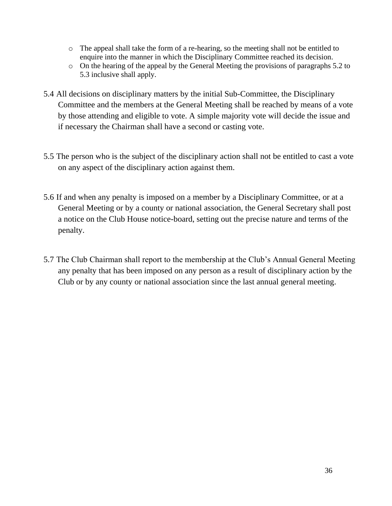- o The appeal shall take the form of a re-hearing, so the meeting shall not be entitled to enquire into the manner in which the Disciplinary Committee reached its decision.
- o On the hearing of the appeal by the General Meeting the provisions of paragraphs 5.2 to 5.3 inclusive shall apply.
- 5.4 All decisions on disciplinary matters by the initial Sub-Committee, the Disciplinary Committee and the members at the General Meeting shall be reached by means of a vote by those attending and eligible to vote. A simple majority vote will decide the issue and if necessary the Chairman shall have a second or casting vote.
- 5.5 The person who is the subject of the disciplinary action shall not be entitled to cast a vote on any aspect of the disciplinary action against them.
- 5.6 If and when any penalty is imposed on a member by a Disciplinary Committee, or at a General Meeting or by a county or national association, the General Secretary shall post a notice on the Club House notice-board, setting out the precise nature and terms of the penalty.
- 5.7 The Club Chairman shall report to the membership at the Club's Annual General Meeting any penalty that has been imposed on any person as a result of disciplinary action by the Club or by any county or national association since the last annual general meeting.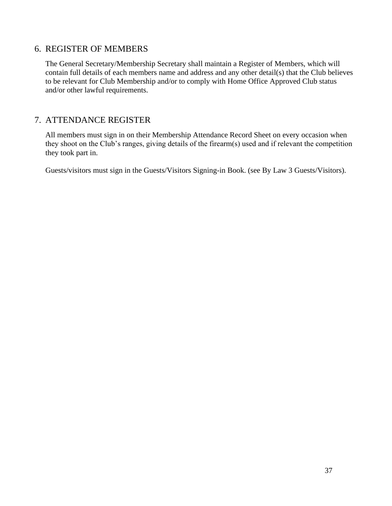## <span id="page-37-0"></span>6. REGISTER OF MEMBERS

The General Secretary/Membership Secretary shall maintain a Register of Members, which will contain full details of each members name and address and any other detail(s) that the Club believes to be relevant for Club Membership and/or to comply with Home Office Approved Club status and/or other lawful requirements.

## <span id="page-37-1"></span>7. ATTENDANCE REGISTER

All members must sign in on their Membership Attendance Record Sheet on every occasion when they shoot on the Club's ranges, giving details of the firearm(s) used and if relevant the competition they took part in.

Guests/visitors must sign in the Guests/Visitors Signing-in Book. (see By Law 3 Guests/Visitors).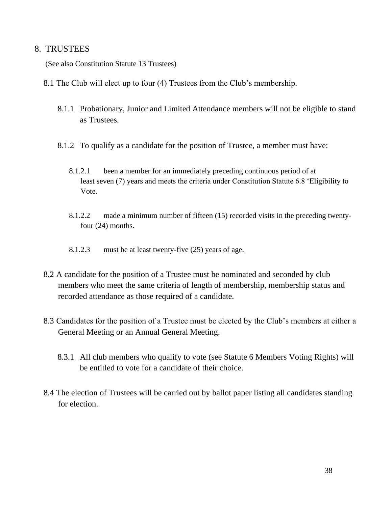## <span id="page-38-0"></span>8. TRUSTEES

(See also Constitution Statute 13 Trustees)

- 8.1 The Club will elect up to four (4) Trustees from the Club's membership.
	- 8.1.1 Probationary, Junior and Limited Attendance members will not be eligible to stand as Trustees.
	- 8.1.2 To qualify as a candidate for the position of Trustee, a member must have:
		- 8.1.2.1 been a member for an immediately preceding continuous period of at least seven (7) years and meets the criteria under Constitution Statute 6.8 'Eligibility to Vote.
		- 8.1.2.2 made a minimum number of fifteen (15) recorded visits in the preceding twentyfour (24) months.
		- 8.1.2.3 must be at least twenty-five (25) years of age.
- 8.2 A candidate for the position of a Trustee must be nominated and seconded by club members who meet the same criteria of length of membership, membership status and recorded attendance as those required of a candidate.
- 8.3 Candidates for the position of a Trustee must be elected by the Club's members at either a General Meeting or an Annual General Meeting.
	- 8.3.1 All club members who qualify to vote (see Statute 6 Members Voting Rights) will be entitled to vote for a candidate of their choice.
- 8.4 The election of Trustees will be carried out by ballot paper listing all candidates standing for election.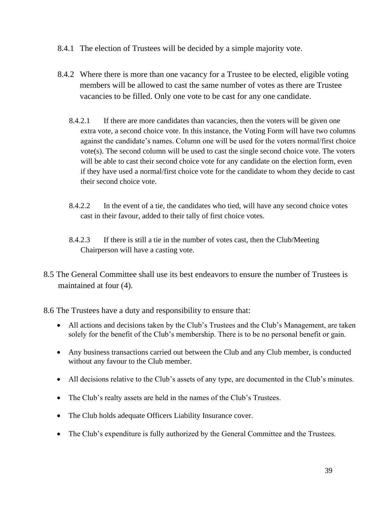- 8.4.1 The election of Trustees will be decided by a simple majority vote.
- 8.4.2 Where there is more than one vacancy for a Trustee to be elected, eligible voting members will be allowed to cast the same number of votes as there are Trustee vacancies to be filled. Only one vote to be cast for any one candidate.
	- 8.4.2.1 If there are more candidates than vacancies, then the voters will be given one extra vote, a second choice vote. In this instance, the Voting Form will have two columns against the candidate's names. Column one will be used for the voters normal/first choice vote(s). The second column will be used to cast the single second choice vote. The voters will be able to cast their second choice vote for any candidate on the election form, even if they have used a normal/first choice vote for the candidate to whom they decide to cast their second choice vote.
	- 8.4.2.2 In the event of a tie, the candidates who tied, will have any second choice votes cast in their favour, added to their tally of first choice votes.
	- 8.4.2.3 If there is still a tie in the number of votes cast, then the Club/Meeting Chairperson will have a casting vote.
- 8.5 The General Committee shall use its best endeavors to ensure the number of Trustees is maintained at four (4).

8.6 The Trustees have a duty and responsibility to ensure that:

- All actions and decisions taken by the Club's Trustees and the Club's Management, are taken solely for the benefit of the Club's membership. There is to be no personal benefit or gain.
- Any business transactions carried out between the Club and any Club member, is conducted without any favour to the Club member.
- All decisions relative to the Club's assets of any type, are documented in the Club's minutes.
- The Club's realty assets are held in the names of the Club's Trustees.
- The Club holds adequate Officers Liability Insurance cover.
- The Club's expenditure is fully authorized by the General Committee and the Trustees.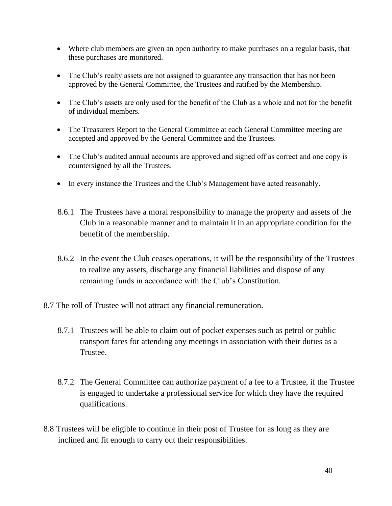- Where club members are given an open authority to make purchases on a regular basis, that these purchases are monitored.
- The Club's realty assets are not assigned to guarantee any transaction that has not been approved by the General Committee, the Trustees and ratified by the Membership.
- The Club's assets are only used for the benefit of the Club as a whole and not for the benefit of individual members.
- The Treasurers Report to the General Committee at each General Committee meeting are accepted and approved by the General Committee and the Trustees.
- The Club's audited annual accounts are approved and signed off as correct and one copy is countersigned by all the Trustees.
- In every instance the Trustees and the Club's Management have acted reasonably.
- 8.6.1 The Trustees have a moral responsibility to manage the property and assets of the Club in a reasonable manner and to maintain it in an appropriate condition for the benefit of the membership.
- 8.6.2 In the event the Club ceases operations, it will be the responsibility of the Trustees to realize any assets, discharge any financial liabilities and dispose of any remaining funds in accordance with the Club's Constitution.
- 8.7 The roll of Trustee will not attract any financial remuneration.
	- 8.7.1 Trustees will be able to claim out of pocket expenses such as petrol or public transport fares for attending any meetings in association with their duties as a Trustee.
	- 8.7.2 The General Committee can authorize payment of a fee to a Trustee, if the Trustee is engaged to undertake a professional service for which they have the required qualifications.
- 8.8 Trustees will be eligible to continue in their post of Trustee for as long as they are inclined and fit enough to carry out their responsibilities.